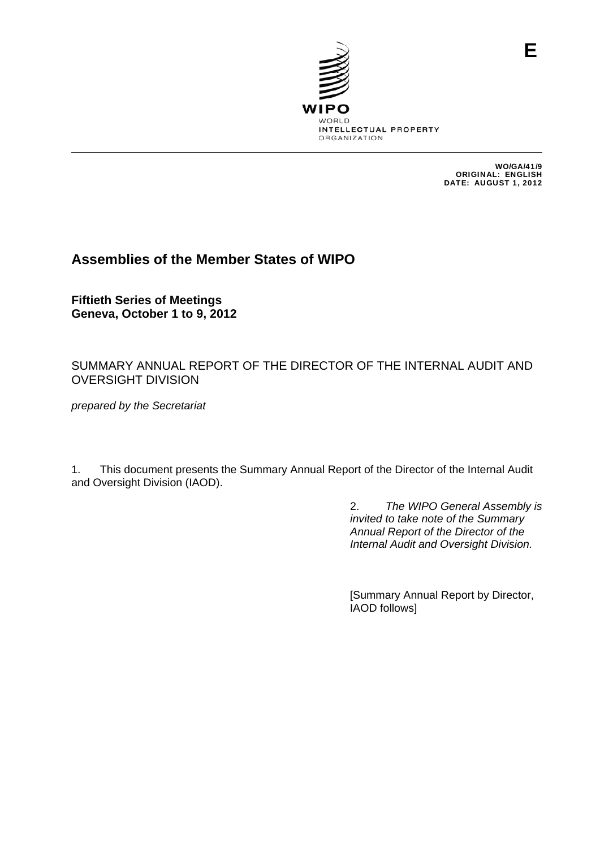

WO/GA/41/9 ORIGINAL: ENGLISH DATE: AUGUST 1, 2012

**E**

# **Assemblies of the Member States of WIPO**

**Fiftieth Series of Meetings Geneva, October 1 to 9, 2012** 

SUMMARY ANNUAL REPORT OF THE DIRECTOR OF THE INTERNAL AUDIT AND OVERSIGHT DIVISION

*prepared by the Secretariat* 

1. This document presents the Summary Annual Report of the Director of the Internal Audit and Oversight Division (IAOD).

> 2. *The WIPO General Assembly is invited to take note of the Summary Annual Report of the Director of the Internal Audit and Oversight Division.*

[Summary Annual Report by Director, IAOD follows]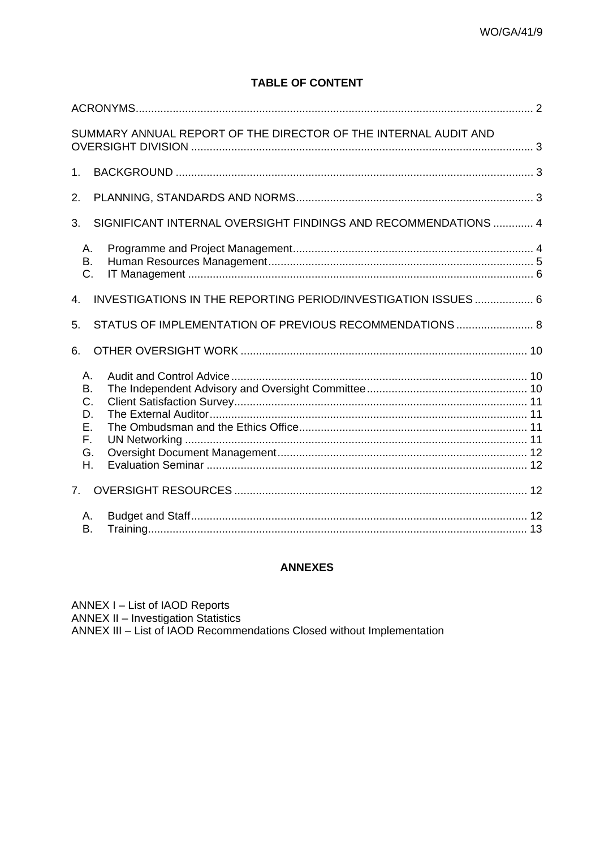## **TABLE OF CONTENT**

|                                              | SUMMARY ANNUAL REPORT OF THE DIRECTOR OF THE INTERNAL AUDIT AND |  |
|----------------------------------------------|-----------------------------------------------------------------|--|
| 1 <sub>1</sub>                               |                                                                 |  |
| 2.                                           |                                                                 |  |
| 3.                                           | SIGNIFICANT INTERNAL OVERSIGHT FINDINGS AND RECOMMENDATIONS  4  |  |
| Α.<br>В.<br>C.                               |                                                                 |  |
| $\overline{4}$                               | INVESTIGATIONS IN THE REPORTING PERIOD/INVESTIGATION ISSUES  6  |  |
| 5.                                           | STATUS OF IMPLEMENTATION OF PREVIOUS RECOMMENDATIONS  8         |  |
| 6.                                           |                                                                 |  |
| Α.<br>В.<br>C.<br>D.<br>Е.<br>F.<br>G.<br>Η. |                                                                 |  |
| 7.                                           |                                                                 |  |
| Α.<br>В.                                     |                                                                 |  |

#### **ANNEXES**

ANNEX I - List of IAOD Reports ANNEX II – Investigation Statistics<br>ANNEX II – Investigation Statistics<br>ANNEX III – List of IAOD Recommendations Closed without Implementation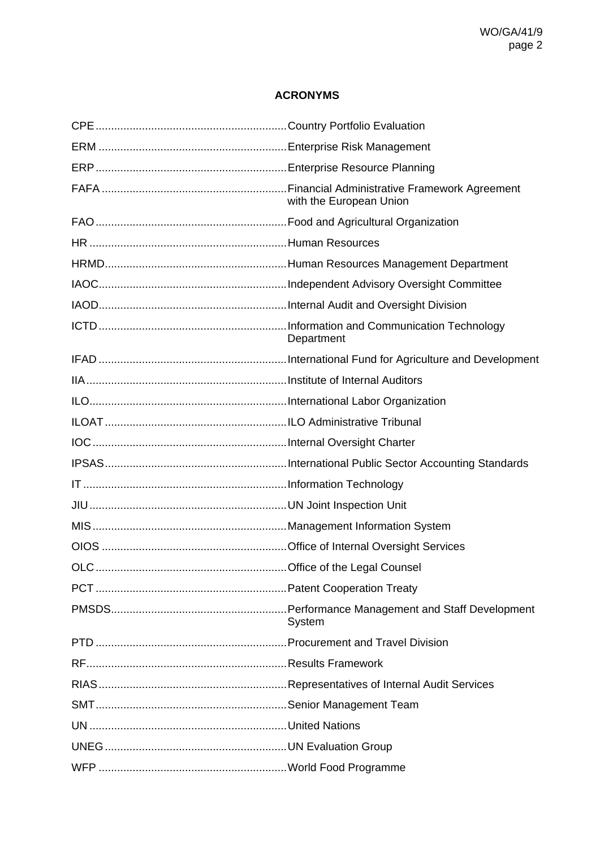## **ACRONYMS**

<span id="page-4-0"></span>

|      | with the European Union |
|------|-------------------------|
|      |                         |
|      |                         |
|      |                         |
|      |                         |
|      |                         |
|      | Department              |
|      |                         |
|      |                         |
|      |                         |
|      |                         |
|      |                         |
|      |                         |
|      |                         |
|      |                         |
|      |                         |
|      |                         |
| OLC. |                         |
|      |                         |
|      | System                  |
|      |                         |
|      |                         |
|      |                         |
|      |                         |
|      |                         |
|      |                         |
|      |                         |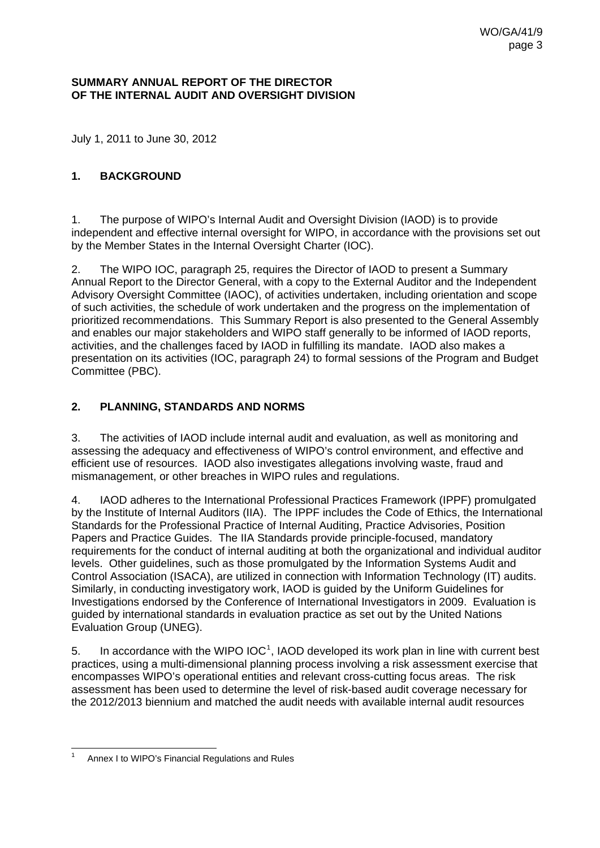#### <span id="page-6-0"></span>**SUMMARY ANNUAL REPORT OF THE DIRECTOR OF THE INTERNAL AUDIT AND OVERSIGHT DIVISION**

July 1, 2011 to June 30, 2012

#### <span id="page-6-1"></span>**1. BACKGROUND**

1. The purpose of WIPO's Internal Audit and Oversight Division (IAOD) is to provide independent and effective internal oversight for WIPO, in accordance with the provisions set out by the Member States in the Internal Oversight Charter (IOC).

2. The WIPO IOC, paragraph 25, requires the Director of IAOD to present a Summary Annual Report to the Director General, with a copy to the External Auditor and the Independent Advisory Oversight Committee (IAOC), of activities undertaken, including orientation and scope of such activities, the schedule of work undertaken and the progress on the implementation of prioritized recommendations. This Summary Report is also presented to the General Assembly and enables our major stakeholders and WIPO staff generally to be informed of IAOD reports, activities, and the challenges faced by IAOD in fulfilling its mandate. IAOD also makes a presentation on its activities (IOC, paragraph 24) to formal sessions of the Program and Budget Committee (PBC).

#### <span id="page-6-2"></span>**2. PLANNING, STANDARDS AND NORMS**

3. The activities of IAOD include internal audit and evaluation, as well as monitoring and assessing the adequacy and effectiveness of WIPO's control environment, and effective and efficient use of resources. IAOD also investigates allegations involving waste, fraud and mismanagement, or other breaches in WIPO rules and regulations.

4. IAOD adheres to the International Professional Practices Framework (IPPF) promulgated by the Institute of Internal Auditors (IIA). The IPPF includes the Code of Ethics, the International Standards for the Professional Practice of Internal Auditing, Practice Advisories, Position Papers and Practice Guides. The IIA Standards provide principle-focused, mandatory requirements for the conduct of internal auditing at both the organizational and individual auditor levels. Other guidelines, such as those promulgated by the Information Systems Audit and Control Association (ISACA), are utilized in connection with Information Technology (IT) audits. Similarly, in conducting investigatory work, IAOD is guided by the Uniform Guidelines for Investigations endorsed by the Conference of International Investigators in 2009. Evaluation is guided by international standards in evaluation practice as set out by the United Nations Evaluation Group (UNEG).

5. In accordance with the WIPO  $IOC<sup>1</sup>$  $IOC<sup>1</sup>$  $IOC<sup>1</sup>$ , IAOD developed its work plan in line with current best practices, using a multi-dimensional planning process involving a risk assessment exercise that encompasses WIPO's operational entities and relevant cross-cutting focus areas. The risk assessment has been used to determine the level of risk-based audit coverage necessary for the 2012/2013 biennium and matched the audit needs with available internal audit resources

<span id="page-6-3"></span> $\overline{1}$ 1 Annex I to WIPO's Financial Regulations and Rules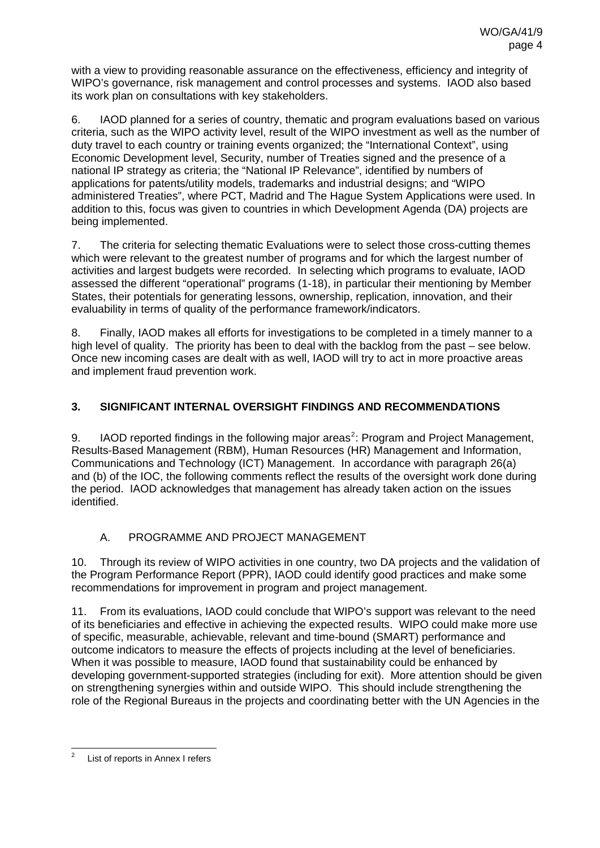with a view to providing reasonable assurance on the effectiveness, efficiency and integrity of WIPO's governance, risk management and control processes and systems. IAOD also based its work plan on consultations with key stakeholders.

6. IAOD planned for a series of country, thematic and program evaluations based on various criteria, such as the WIPO activity level, result of the WIPO investment as well as the number of duty travel to each country or training events organized; the "International Context", using Economic Development level, Security, number of Treaties signed and the presence of a national IP strategy as criteria; the "National IP Relevance", identified by numbers of applications for patents/utility models, trademarks and industrial designs; and "WIPO administered Treaties", where PCT, Madrid and The Hague System Applications were used. In addition to this, focus was given to countries in which Development Agenda (DA) projects are being implemented.

7. The criteria for selecting thematic Evaluations were to select those cross-cutting themes which were relevant to the greatest number of programs and for which the largest number of activities and largest budgets were recorded. In selecting which programs to evaluate, IAOD assessed the different "operational" programs (1-18), in particular their mentioning by Member States, their potentials for generating lessons, ownership, replication, innovation, and their evaluability in terms of quality of the performance framework/indicators.

8. Finally, IAOD makes all efforts for investigations to be completed in a timely manner to a high level of quality. The priority has been to deal with the backlog from the past – see below. Once new incoming cases are dealt with as well, IAOD will try to act in more proactive areas and implement fraud prevention work.

## <span id="page-7-0"></span>**3. SIGNIFICANT INTERNAL OVERSIGHT FINDINGS AND RECOMMENDATIONS**

9. IAOD reported findings in the following major areas<sup>[2](#page-7-2)</sup>: Program and Project Management, Results-Based Management (RBM), Human Resources (HR) Management and Information, Communications and Technology (ICT) Management. In accordance with paragraph 26(a) and (b) of the IOC, the following comments reflect the results of the oversight work done during the period. IAOD acknowledges that management has already taken action on the issues identified.

### A. PROGRAMME AND PROJECT MANAGEMENT

<span id="page-7-1"></span>10. Through its review of WIPO activities in one country, two DA projects and the validation of the Program Performance Report (PPR), IAOD could identify good practices and make some recommendations for improvement in program and project management.

11. From its evaluations, IAOD could conclude that WIPO's support was relevant to the need of its beneficiaries and effective in achieving the expected results. WIPO could make more use of specific, measurable, achievable, relevant and time-bound (SMART) performance and outcome indicators to measure the effects of projects including at the level of beneficiaries. When it was possible to measure, IAOD found that sustainability could be enhanced by developing government-supported strategies (including for exit). More attention should be given on strengthening synergies within and outside WIPO. This should include strengthening the role of the Regional Bureaus in the projects and coordinating better with the UN Agencies in the

<span id="page-7-2"></span> $\overline{a}$ 2 List of reports in Annex I refers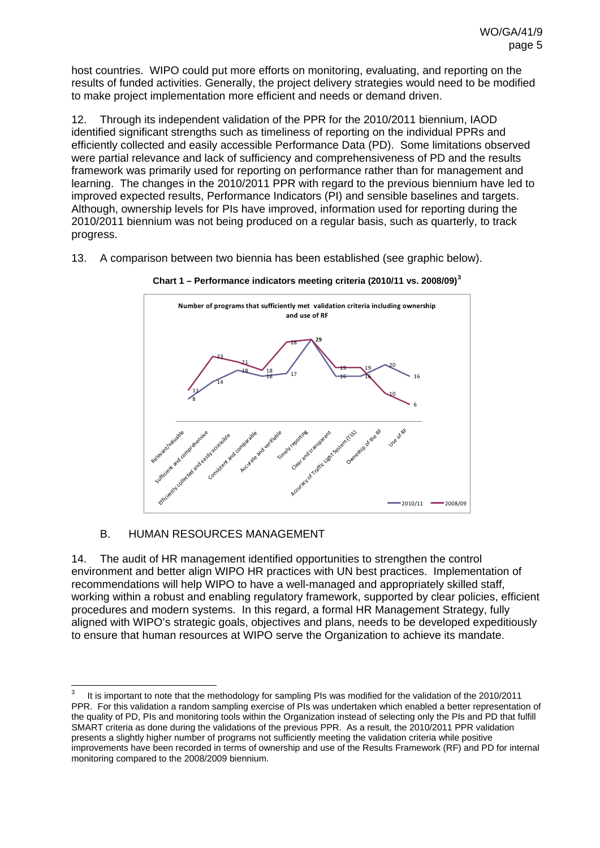host countries. WIPO could put more efforts on monitoring, evaluating, and reporting on the results of funded activities. Generally, the project delivery strategies would need to be modified to make project implementation more efficient and needs or demand driven.

12. Through its independent validation of the PPR for the 2010/2011 biennium, IAOD identified significant strengths such as timeliness of reporting on the individual PPRs and efficiently collected and easily accessible Performance Data (PD). Some limitations observed were partial relevance and lack of sufficiency and comprehensiveness of PD and the results framework was primarily used for reporting on performance rather than for management and learning. The changes in the 2010/2011 PPR with regard to the previous biennium have led to improved expected results, Performance Indicators (PI) and sensible baselines and targets. Although, ownership levels for PIs have improved, information used for reporting during the 2010/2011 biennium was not being produced on a regular basis, such as quarterly, to track progress.

13. A comparison between two biennia has been established (see graphic below).





#### B. HUMAN RESOURCES MANAGEMENT

<span id="page-8-0"></span>14. The audit of HR management identified opportunities to strengthen the control environment and better align WIPO HR practices with UN best practices. Implementation of recommendations will help WIPO to have a well-managed and appropriately skilled staff, working within a robust and enabling regulatory framework, supported by clear policies, efficient procedures and modern systems. In this regard, a formal HR Management Strategy, fully aligned with WIPO's strategic goals, objectives and plans, needs to be developed expeditiously to ensure that human resources at WIPO serve the Organization to achieve its mandate.

<span id="page-8-1"></span> $\frac{1}{3}$  It is important to note that the methodology for sampling PIs was modified for the validation of the 2010/2011 PPR. For this validation a random sampling exercise of PIs was undertaken which enabled a better representation of the quality of PD, PIs and monitoring tools within the Organization instead of selecting only the PIs and PD that fulfill SMART criteria as done during the validations of the previous PPR. As a result, the 2010/2011 PPR validation presents a slightly higher number of programs not sufficiently meeting the validation criteria while positive improvements have been recorded in terms of ownership and use of the Results Framework (RF) and PD for internal monitoring compared to the 2008/2009 biennium.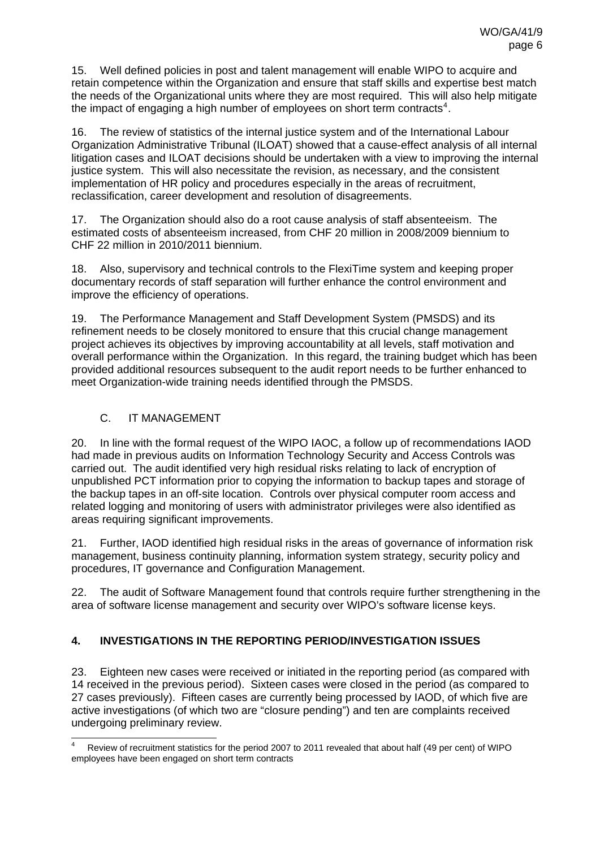15. Well defined policies in post and talent management will enable WIPO to acquire and retain competence within the Organization and ensure that staff skills and expertise best match the needs of the Organizational units where they are most required. This will also help mitigate the impact of engaging a high number of employees on short term contracts<sup>[4](#page-9-2)</sup>.

16. The review of statistics of the internal justice system and of the International Labour Organization Administrative Tribunal (ILOAT) showed that a cause-effect analysis of all internal litigation cases and ILOAT decisions should be undertaken with a view to improving the internal justice system. This will also necessitate the revision, as necessary, and the consistent implementation of HR policy and procedures especially in the areas of recruitment, reclassification, career development and resolution of disagreements.

17. The Organization should also do a root cause analysis of staff absenteeism. The estimated costs of absenteeism increased, from CHF 20 million in 2008/2009 biennium to CHF 22 million in 2010/2011 biennium.

18. Also, supervisory and technical controls to the FlexiTime system and keeping proper documentary records of staff separation will further enhance the control environment and improve the efficiency of operations.

19. The Performance Management and Staff Development System (PMSDS) and its refinement needs to be closely monitored to ensure that this crucial change management project achieves its objectives by improving accountability at all levels, staff motivation and overall performance within the Organization. In this regard, the training budget which has been provided additional resources subsequent to the audit report needs to be further enhanced to meet Organization-wide training needs identified through the PMSDS.

### C. IT MANAGEMENT

<span id="page-9-0"></span>20. In line with the formal request of the WIPO IAOC, a follow up of recommendations IAOD had made in previous audits on Information Technology Security and Access Controls was carried out. The audit identified very high residual risks relating to lack of encryption of unpublished PCT information prior to copying the information to backup tapes and storage of the backup tapes in an off-site location. Controls over physical computer room access and related logging and monitoring of users with administrator privileges were also identified as areas requiring significant improvements.

21. Further, IAOD identified high residual risks in the areas of governance of information risk management, business continuity planning, information system strategy, security policy and procedures, IT governance and Configuration Management.

22. The audit of Software Management found that controls require further strengthening in the area of software license management and security over WIPO's software license keys.

### <span id="page-9-1"></span>**4. INVESTIGATIONS IN THE REPORTING PERIOD/INVESTIGATION ISSUES**

23. Eighteen new cases were received or initiated in the reporting period (as compared with 14 received in the previous period). Sixteen cases were closed in the period (as compared to 27 cases previously). Fifteen cases are currently being processed by IAOD, of which five are active investigations (of which two are "closure pending") and ten are complaints received undergoing preliminary review.

<span id="page-9-2"></span><sup>-</sup>4 Review of recruitment statistics for the period 2007 to 2011 revealed that about half (49 per cent) of WIPO employees have been engaged on short term contracts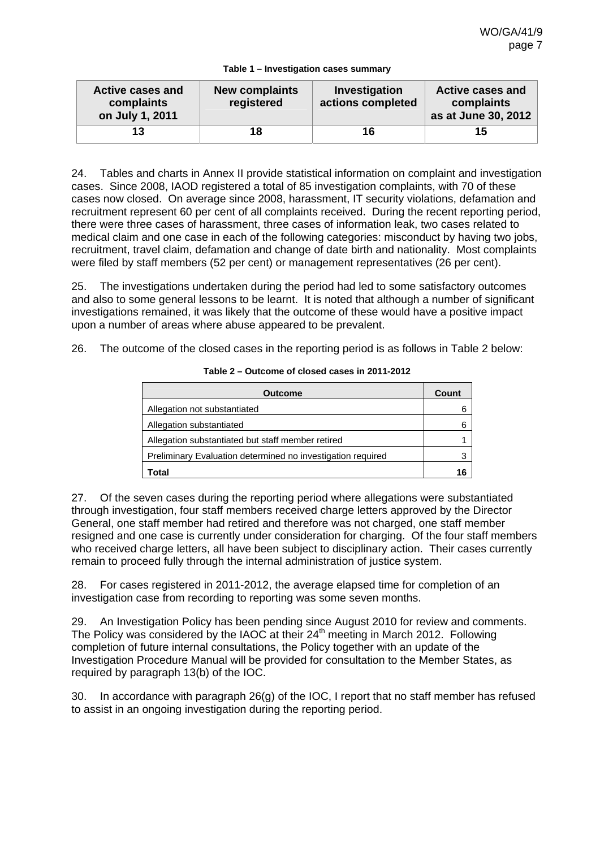|  | Table 1 - Investigation cases summary |  |  |
|--|---------------------------------------|--|--|
|  |                                       |  |  |

| <b>Active cases and</b><br>complaints<br>on July 1, 2011 | <b>New complaints</b><br>registered | Investigation<br>actions completed | <b>Active cases and</b><br>complaints<br>as at June 30, 2012 |
|----------------------------------------------------------|-------------------------------------|------------------------------------|--------------------------------------------------------------|
| 13                                                       | 18                                  | 16                                 | 15                                                           |

24. Tables and charts in Annex II provide statistical information on complaint and investigation cases. Since 2008, IAOD registered a total of 85 investigation complaints, with 70 of these cases now closed. On average since 2008, harassment, IT security violations, defamation and recruitment represent 60 per cent of all complaints received. During the recent reporting period, there were three cases of harassment, three cases of information leak, two cases related to medical claim and one case in each of the following categories: misconduct by having two jobs, recruitment, travel claim, defamation and change of date birth and nationality. Most complaints were filed by staff members (52 per cent) or management representatives (26 per cent).

25. The investigations undertaken during the period had led to some satisfactory outcomes and also to some general lessons to be learnt. It is noted that although a number of significant investigations remained, it was likely that the outcome of these would have a positive impact upon a number of areas where abuse appeared to be prevalent.

26. The outcome of the closed cases in the reporting period is as follows in Table 2 below:

| <b>Outcome</b>                                              | Count |
|-------------------------------------------------------------|-------|
| Allegation not substantiated                                |       |
| Allegation substantiated                                    | 6     |
| Allegation substantiated but staff member retired           |       |
| Preliminary Evaluation determined no investigation required |       |
| Total                                                       | 16    |

**Table 2 – Outcome of closed cases in 2011-2012** 

27. Of the seven cases during the reporting period where allegations were substantiated through investigation, four staff members received charge letters approved by the Director General, one staff member had retired and therefore was not charged, one staff member resigned and one case is currently under consideration for charging. Of the four staff members who received charge letters, all have been subject to disciplinary action. Their cases currently remain to proceed fully through the internal administration of justice system.

28. For cases registered in 2011-2012, the average elapsed time for completion of an investigation case from recording to reporting was some seven months.

29. An Investigation Policy has been pending since August 2010 for review and comments. The Policy was considered by the IAOC at their  $24<sup>th</sup>$  meeting in March 2012. Following completion of future internal consultations, the Policy together with an update of the Investigation Procedure Manual will be provided for consultation to the Member States, as required by paragraph 13(b) of the IOC.

30. In accordance with paragraph 26(g) of the IOC, I report that no staff member has refused to assist in an ongoing investigation during the reporting period.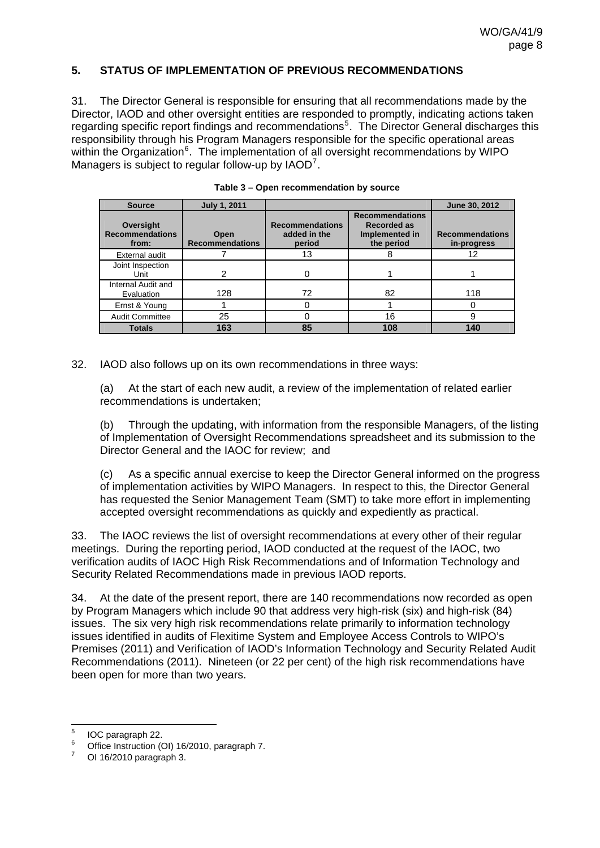#### <span id="page-11-0"></span>**5. STATUS OF IMPLEMENTATION OF PREVIOUS RECOMMENDATIONS**

31. The Director General is responsible for ensuring that all recommendations made by the Director, IAOD and other oversight entities are responded to promptly, indicating actions taken regarding specific report findings and recommendations<sup>[5](#page-11-1)</sup>. The Director General discharges this responsibility through his Program Managers responsible for the specific operational areas within the Organization<sup>[6](#page-11-2)</sup>. The implementation of all oversight recommendations by WIPO Managers is subject to regular follow-up by IAOD<sup>[7](#page-11-3)</sup>.

| <b>Source</b>                                | <b>July 1, 2011</b>            |                                                  |                                                                              | June 30, 2012                         |
|----------------------------------------------|--------------------------------|--------------------------------------------------|------------------------------------------------------------------------------|---------------------------------------|
| Oversight<br><b>Recommendations</b><br>from: | Open<br><b>Recommendations</b> | <b>Recommendations</b><br>added in the<br>period | <b>Recommendations</b><br><b>Recorded as</b><br>Implemented in<br>the period | <b>Recommendations</b><br>in-progress |
| External audit                               |                                | 13                                               | 8                                                                            | 12                                    |
| Joint Inspection<br>Unit                     | 2                              |                                                  |                                                                              |                                       |
| Internal Audit and<br>Evaluation             | 128                            | 72                                               | 82                                                                           | 118                                   |
| Ernst & Young                                |                                |                                                  |                                                                              |                                       |
| <b>Audit Committee</b>                       | 25                             |                                                  | 16                                                                           | 9                                     |
| <b>Totals</b>                                | 163                            | 85                                               | 108                                                                          | 140                                   |

| Table 3 – Open recommendation by source |  |
|-----------------------------------------|--|
|                                         |  |

32. IAOD also follows up on its own recommendations in three ways:

(a) At the start of each new audit, a review of the implementation of related earlier recommendations is undertaken;

(b) Through the updating, with information from the responsible Managers, of the listing of Implementation of Oversight Recommendations spreadsheet and its submission to the Director General and the IAOC for review; and

(c) As a specific annual exercise to keep the Director General informed on the progress of implementation activities by WIPO Managers. In respect to this, the Director General has requested the Senior Management Team (SMT) to take more effort in implementing accepted oversight recommendations as quickly and expediently as practical.

33. The IAOC reviews the list of oversight recommendations at every other of their regular meetings. During the reporting period, IAOD conducted at the request of the IAOC, two verification audits of IAOC High Risk Recommendations and of Information Technology and Security Related Recommendations made in previous IAOD reports.

34. At the date of the present report, there are 140 recommendations now recorded as open by Program Managers which include 90 that address very high-risk (six) and high-risk (84) issues. The six very high risk recommendations relate primarily to information technology issues identified in audits of Flexitime System and Employee Access Controls to WIPO's Premises (2011) and Verification of IAOD's Information Technology and Security Related Audit Recommendations (2011). Nineteen (or 22 per cent) of the high risk recommendations have been open for more than two years.

<sup>-&</sup>lt;br>5 IOC paragraph 22.

<span id="page-11-2"></span><span id="page-11-1"></span><sup>6</sup> Office Instruction (OI) 16/2010, paragraph 7.

<span id="page-11-3"></span><sup>7</sup> OI 16/2010 paragraph 3.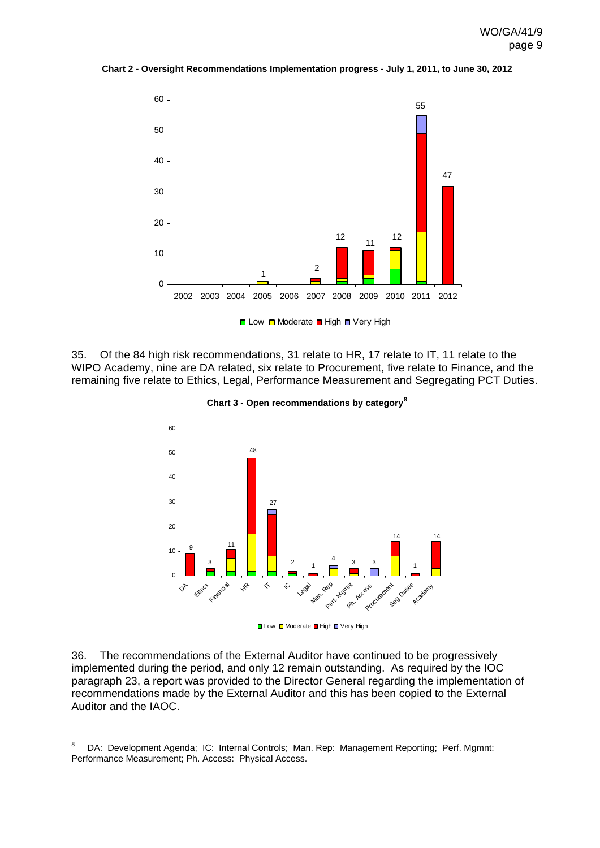

**Chart 2 - Oversight Recommendations Implementation progress - July 1, 2011, to June 30, 2012** 

35. Of the 84 high risk recommendations, 31 relate to HR, 17 relate to IT, 11 relate to the WIPO Academy, nine are DA related, six relate to Procurement, five relate to Finance, and the remaining five relate to Ethics, Legal, Performance Measurement and Segregating PCT Duties.



**Chart 3 - Open recommendations by category[8](#page-12-0)**

**■ Low ■ Moderate ■ High ■ Very High** 

36. The recommendations of the External Auditor have continued to be progressively implemented during the period, and only 12 remain outstanding. As required by the IOC paragraph 23, a report was provided to the Director General regarding the implementation of recommendations made by the External Auditor and this has been copied to the External Auditor and the IAOC.

-

<span id="page-12-0"></span><sup>8</sup> DA: Development Agenda; IC: Internal Controls; Man. Rep: Management Reporting; Perf. Mgmnt: Performance Measurement; Ph. Access: Physical Access.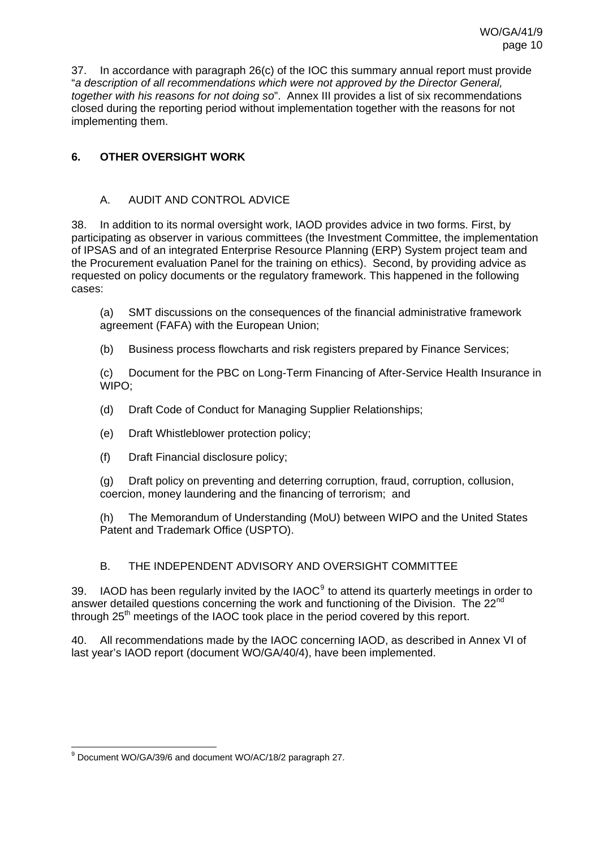37. In accordance with paragraph 26(c) of the IOC this summary annual report must provide "*a description of all recommendations which were not approved by the Director General, together with his reasons for not doing so*". Annex III provides a list of six recommendations closed during the reporting period without implementation together with the reasons for not implementing them.

### <span id="page-13-0"></span>**6. OTHER OVERSIGHT WORK**

### A. AUDIT AND CONTROL ADVICE

<span id="page-13-1"></span>38. In addition to its normal oversight work, IAOD provides advice in two forms. First, by participating as observer in various committees (the Investment Committee, the implementation of IPSAS and of an integrated Enterprise Resource Planning (ERP) System project team and the Procurement evaluation Panel for the training on ethics). Second, by providing advice as requested on policy documents or the regulatory framework. This happened in the following cases:

(a) SMT discussions on the consequences of the financial administrative framework agreement (FAFA) with the European Union;

(b) Business process flowcharts and risk registers prepared by Finance Services;

(c) Document for the PBC on Long-Term Financing of After-Service Health Insurance in WIPO;

- (d) Draft Code of Conduct for Managing Supplier Relationships;
- (e) Draft Whistleblower protection policy;
- (f) Draft Financial disclosure policy;

(g) Draft policy on preventing and deterring corruption, fraud, corruption, collusion, coercion, money laundering and the financing of terrorism; and

(h) The Memorandum of Understanding (MoU) between WIPO and the United States Patent and Trademark Office (USPTO).

### B. THE INDEPENDENT ADVISORY AND OVERSIGHT COMMITTEE

<span id="page-13-2"></span>3[9](#page-13-3). IAOD has been regularly invited by the IAOC $<sup>9</sup>$  to attend its quarterly meetings in order to</sup> answer detailed questions concerning the work and functioning of the Division. The 22<sup>nd</sup> through 25<sup>th</sup> meetings of the IAOC took place in the period covered by this report.

40. All recommendations made by the IAOC concerning IAOD, as described in Annex VI of last year's IAOD report (document WO/GA/40/4), have been implemented.

<span id="page-13-3"></span> 9 Document WO/GA/39/6 and document WO/AC/18/2 paragraph 27.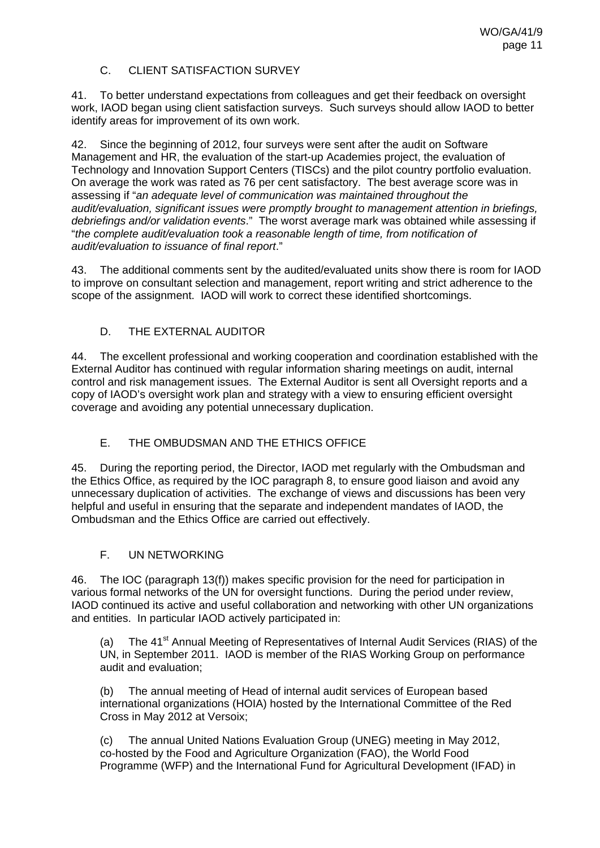### C. CLIENT SATISFACTION SURVEY

<span id="page-14-0"></span>41. To better understand expectations from colleagues and get their feedback on oversight work, IAOD began using client satisfaction surveys. Such surveys should allow IAOD to better identify areas for improvement of its own work.

42. Since the beginning of 2012, four surveys were sent after the audit on Software Management and HR, the evaluation of the start-up Academies project, the evaluation of Technology and Innovation Support Centers (TISCs) and the pilot country portfolio evaluation. On average the work was rated as 76 per cent satisfactory. The best average score was in assessing if "*an adequate level of communication was maintained throughout the audit/evaluation, significant issues were promptly brought to management attention in briefings, debriefings and/or validation events*." The worst average mark was obtained while assessing if "*the complete audit/evaluation took a reasonable length of time, from notification of audit/evaluation to issuance of final report*."

43. The additional comments sent by the audited/evaluated units show there is room for IAOD to improve on consultant selection and management, report writing and strict adherence to the scope of the assignment. IAOD will work to correct these identified shortcomings.

#### D. THE EXTERNAL AUDITOR

<span id="page-14-1"></span>44. The excellent professional and working cooperation and coordination established with the External Auditor has continued with regular information sharing meetings on audit, internal control and risk management issues. The External Auditor is sent all Oversight reports and a copy of IAOD's oversight work plan and strategy with a view to ensuring efficient oversight coverage and avoiding any potential unnecessary duplication.

### E. THE OMBUDSMAN AND THE ETHICS OFFICE

<span id="page-14-2"></span>45. During the reporting period, the Director, IAOD met regularly with the Ombudsman and the Ethics Office, as required by the IOC paragraph 8, to ensure good liaison and avoid any unnecessary duplication of activities. The exchange of views and discussions has been very helpful and useful in ensuring that the separate and independent mandates of IAOD, the Ombudsman and the Ethics Office are carried out effectively.

#### F. UN NETWORKING

<span id="page-14-3"></span>46. The IOC (paragraph 13(f)) makes specific provision for the need for participation in various formal networks of the UN for oversight functions. During the period under review, IAOD continued its active and useful collaboration and networking with other UN organizations and entities. In particular IAOD actively participated in:

(a) The 41<sup>st</sup> Annual Meeting of Representatives of Internal Audit Services (RIAS) of the UN, in September 2011. IAOD is member of the RIAS Working Group on performance audit and evaluation;

(b) The annual meeting of Head of internal audit services of European based international organizations (HOIA) hosted by the International Committee of the Red Cross in May 2012 at Versoix;

(c) The annual United Nations Evaluation Group (UNEG) meeting in May 2012, co-hosted by the Food and Agriculture Organization (FAO), the World Food Programme (WFP) and the International Fund for Agricultural Development (IFAD) in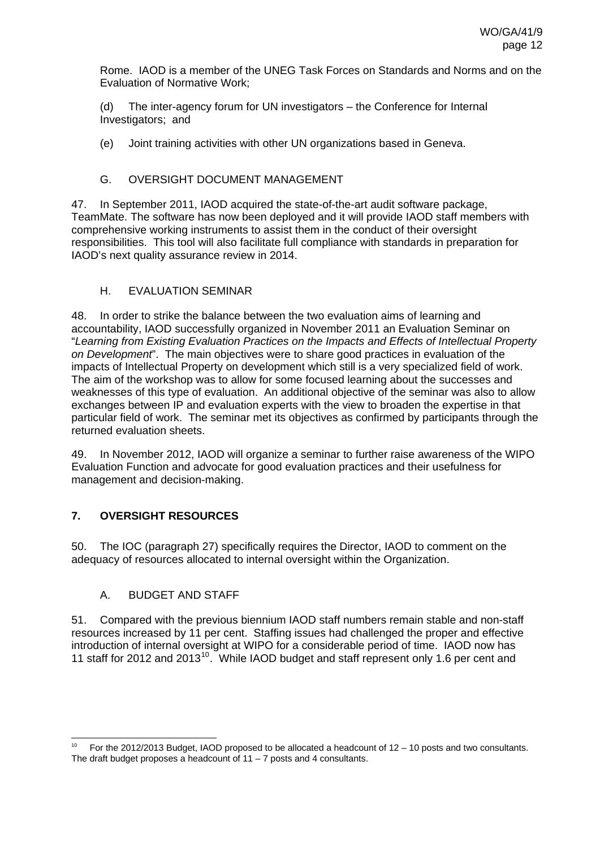Rome. IAOD is a member of the UNEG Task Forces on Standards and Norms and on the Evaluation of Normative Work;

(d) The inter-agency forum for UN investigators – the Conference for Internal Investigators; and

(e) Joint training activities with other UN organizations based in Geneva.

### G. OVERSIGHT DOCUMENT MANAGEMENT

<span id="page-15-0"></span>47. In September 2011, IAOD acquired the state-of-the-art audit software package, TeamMate. The software has now been deployed and it will provide IAOD staff members with comprehensive working instruments to assist them in the conduct of their oversight responsibilities. This tool will also facilitate full compliance with standards in preparation for IAOD's next quality assurance review in 2014.

#### H. EVALUATION SEMINAR

<span id="page-15-1"></span>48. In order to strike the balance between the two evaluation aims of learning and accountability, IAOD successfully organized in November 2011 an Evaluation Seminar on "*Learning from Existing Evaluation Practices on the Impacts and Effects of Intellectual Property on Development*". The main objectives were to share good practices in evaluation of the impacts of Intellectual Property on development which still is a very specialized field of work. The aim of the workshop was to allow for some focused learning about the successes and weaknesses of this type of evaluation. An additional objective of the seminar was also to allow exchanges between IP and evaluation experts with the view to broaden the expertise in that particular field of work. The seminar met its objectives as confirmed by participants through the returned evaluation sheets.

49. In November 2012, IAOD will organize a seminar to further raise awareness of the WIPO Evaluation Function and advocate for good evaluation practices and their usefulness for management and decision-making.

### <span id="page-15-2"></span>**7. OVERSIGHT RESOURCES**

50. The IOC (paragraph 27) specifically requires the Director, IAOD to comment on the adequacy of resources allocated to internal oversight within the Organization.

### A. BUDGET AND STAFF

-

<span id="page-15-3"></span>51. Compared with the previous biennium IAOD staff numbers remain stable and non-staff resources increased by 11 per cent. Staffing issues had challenged the proper and effective introduction of internal oversight at WIPO for a considerable period of time. IAOD now has 11 staff for 2012 and 2013<sup>[10](#page-15-4)</sup>. While IAOD budget and staff represent only 1.6 per cent and

<span id="page-15-4"></span>For the 2012/2013 Budget, IAOD proposed to be allocated a headcount of  $12 - 10$  posts and two consultants. The draft budget proposes a headcount of  $11 - 7$  posts and 4 consultants.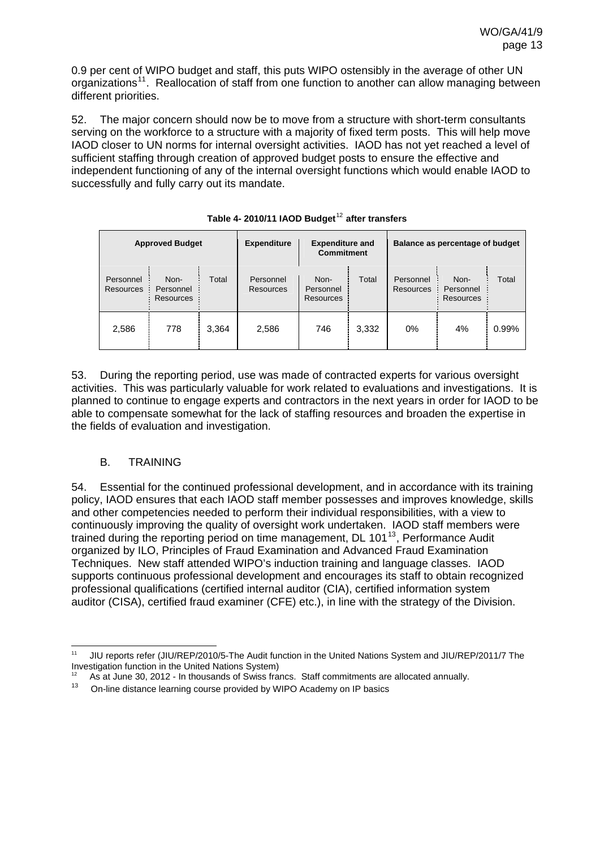0.9 per cent of WIPO budget and staff, this puts WIPO ostensibly in the average of other UN organizations<sup>[11](#page-16-1)</sup>. Reallocation of staff from one function to another can allow managing between different priorities.

52. The major concern should now be to move from a structure with short-term consultants serving on the workforce to a structure with a majority of fixed term posts. This will help move IAOD closer to UN norms for internal oversight activities. IAOD has not yet reached a level of sufficient staffing through creation of approved budget posts to ensure the effective and independent functioning of any of the internal oversight functions which would enable IAOD to successfully and fully carry out its mandate.

|                               | <b>Approved Budget</b>         |       | <b>Expenditure</b>     | <b>Expenditure and</b><br><b>Commitment</b> |       |                        | Balance as percentage of budget       |       |
|-------------------------------|--------------------------------|-------|------------------------|---------------------------------------------|-------|------------------------|---------------------------------------|-------|
| Personnel<br><b>Resources</b> | Non-<br>Personnel<br>Resources | Total | Personnel<br>Resources | Non-<br>Personnel<br><b>Resources</b>       | Total | Personnel<br>Resources | Non-<br>Personnel<br><b>Resources</b> | Total |
| 2,586                         | 778                            | 3,364 | 2,586                  | 746                                         | 3,332 | 0%                     | 4%                                    | 0.99% |

## **Table 4- 2010/11 IAOD Budget**[12](#page-16-2) **after transfers**

53. During the reporting period, use was made of contracted experts for various oversight activities. This was particularly valuable for work related to evaluations and investigations. It is planned to continue to engage experts and contractors in the next years in order for IAOD to be able to compensate somewhat for the lack of staffing resources and broaden the expertise in the fields of evaluation and investigation.

#### B. TRAINING

<span id="page-16-0"></span>54. Essential for the continued professional development, and in accordance with its training policy, IAOD ensures that each IAOD staff member possesses and improves knowledge, skills and other competencies needed to perform their individual responsibilities, with a view to continuously improving the quality of oversight work undertaken. IAOD staff members were trained during the reporting period on time management, DL 101<sup>[13](#page-16-3)</sup>, Performance Audit organized by ILO, Principles of Fraud Examination and Advanced Fraud Examination Techniques. New staff attended WIPO's induction training and language classes. IAOD supports continuous professional development and encourages its staff to obtain recognized professional qualifications (certified internal auditor (CIA), certified information system auditor (CISA), certified fraud examiner (CFE) etc.), in line with the strategy of the Division.

<span id="page-16-1"></span> $11$ 11 JIU reports refer (JIU/REP/2010/5-The Audit function in the United Nations System and JIU/REP/2011/7 The Investigation function in the United Nations System)

<span id="page-16-2"></span><sup>&</sup>lt;sup>12</sup> As at June 30, 2012 - In thousands of Swiss francs. Staff commitments are allocated annually.<br><sup>13</sup> On-line distance learning course provided by WIPO Academy on IP basics

<span id="page-16-3"></span>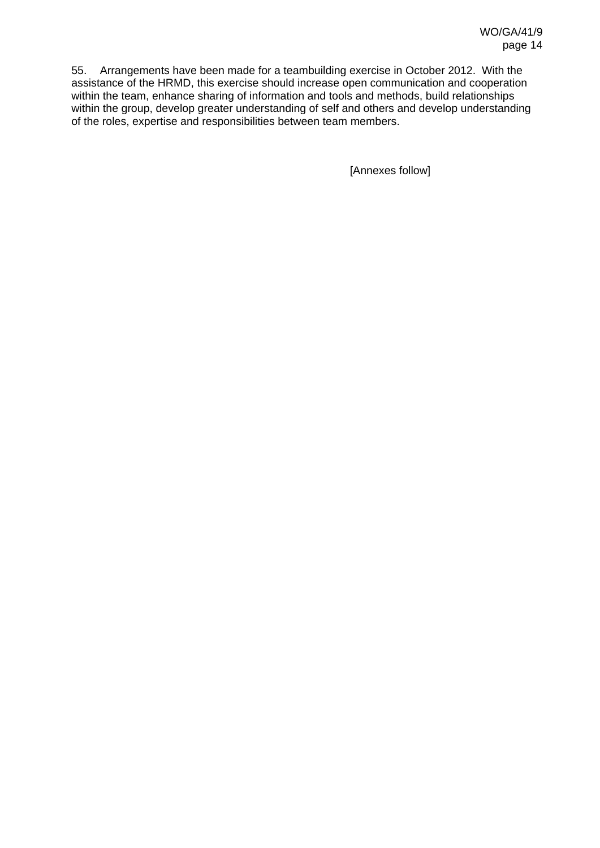55. Arrangements have been made for a teambuilding exercise in October 2012. With the assistance of the HRMD, this exercise should increase open communication and cooperation within the team, enhance sharing of information and tools and methods, build relationships within the group, develop greater understanding of self and others and develop understanding of the roles, expertise and responsibilities between team members.

[Annexes follow]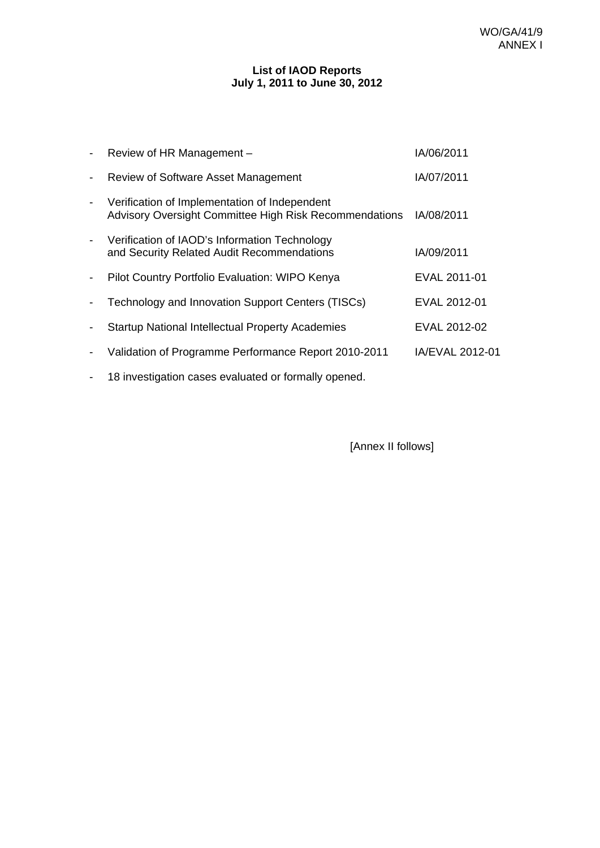#### **List of IAOD Reports July 1, 2011 to June 30, 2012**

|                          | Review of HR Management -                                                                               | IA/06/2011      |
|--------------------------|---------------------------------------------------------------------------------------------------------|-----------------|
| $\overline{\phantom{a}}$ | Review of Software Asset Management                                                                     | IA/07/2011      |
|                          | Verification of Implementation of Independent<br>Advisory Oversight Committee High Risk Recommendations | IA/08/2011      |
|                          | Verification of IAOD's Information Technology<br>and Security Related Audit Recommendations             | IA/09/2011      |
|                          | Pilot Country Portfolio Evaluation: WIPO Kenya                                                          | EVAL 2011-01    |
|                          | Technology and Innovation Support Centers (TISCs)                                                       | EVAL 2012-01    |
|                          | <b>Startup National Intellectual Property Academies</b>                                                 | EVAL 2012-02    |
| $\blacksquare$           | Validation of Programme Performance Report 2010-2011                                                    | IA/EVAL 2012-01 |
|                          | 18 investigation cases evaluated or formally opened.                                                    |                 |

[Annex II follows]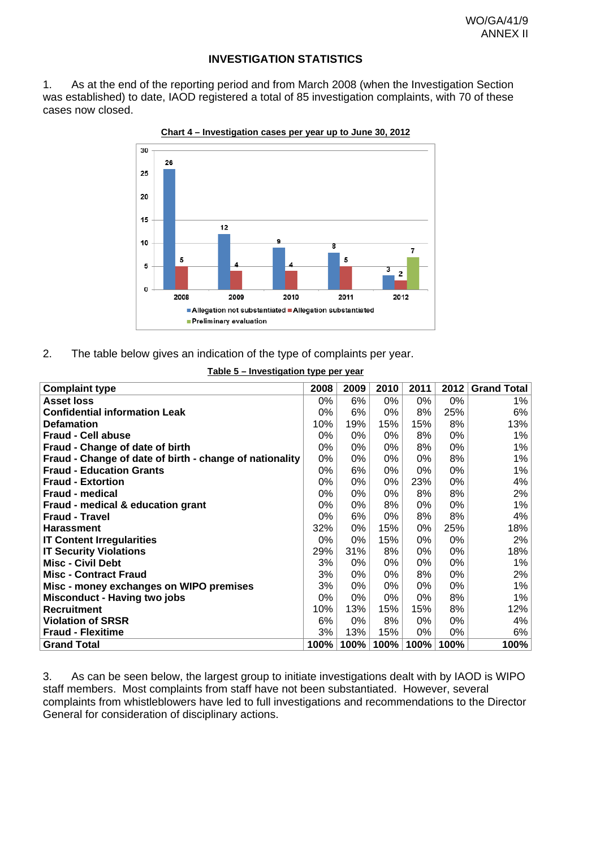#### **INVESTIGATION STATISTICS**

1. As at the end of the reporting period and from March 2008 (when the Investigation Section was established) to date, IAOD registered a total of 85 investigation complaints, with 70 of these cases now closed.



**Chart 4 – Investigation cases per year up to June 30, 2012**

2. The table below gives an indication of the type of complaints per year.

#### **Table 5 – Investigation type per year**

| <b>Complaint type</b>                                   | 2008 | 2009 | 2010 | 2011 | 2012 | <b>Grand Total</b> |
|---------------------------------------------------------|------|------|------|------|------|--------------------|
| <b>Asset loss</b>                                       | 0%   | 6%   | 0%   | 0%   | 0%   | 1%                 |
| <b>Confidential information Leak</b>                    | 0%   | 6%   | 0%   | 8%   | 25%  | 6%                 |
| <b>Defamation</b>                                       | 10%  | 19%  | 15%  | 15%  | 8%   | 13%                |
| <b>Fraud - Cell abuse</b>                               | 0%   | 0%   | 0%   | 8%   | 0%   | $1\%$              |
| Fraud - Change of date of birth                         | 0%   | 0%   | 0%   | 8%   | 0%   | $1\%$              |
| Fraud - Change of date of birth - change of nationality | 0%   | 0%   | 0%   | 0%   | 8%   | 1%                 |
| <b>Fraud - Education Grants</b>                         | 0%   | 6%   | 0%   | 0%   | 0%   | $1\%$              |
| <b>Fraud - Extortion</b>                                | 0%   | 0%   | 0%   | 23%  | 0%   | 4%                 |
| <b>Fraud - medical</b>                                  | 0%   | 0%   | 0%   | 8%   | 8%   | 2%                 |
| Fraud - medical & education grant                       | 0%   | 0%   | 8%   | 0%   | 0%   | $1\%$              |
| <b>Fraud - Travel</b>                                   | 0%   | 6%   | 0%   | 8%   | 8%   | 4%                 |
| <b>Harassment</b>                                       | 32%  | 0%   | 15%  | 0%   | 25%  | 18%                |
| <b>IT Content Irregularities</b>                        | 0%   | 0%   | 15%  | 0%   | 0%   | 2%                 |
| <b>IT Security Violations</b>                           | 29%  | 31%  | 8%   | 0%   | 0%   | 18%                |
| <b>Misc - Civil Debt</b>                                | 3%   | 0%   | 0%   | 0%   | 0%   | 1%                 |
| <b>Misc - Contract Fraud</b>                            | 3%   | 0%   | 0%   | 8%   | 0%   | 2%                 |
| Misc - money exchanges on WIPO premises                 | 3%   | 0%   | 0%   | 0%   | 0%   | 1%                 |
| <b>Misconduct - Having two jobs</b>                     | 0%   | 0%   | 0%   | 0%   | 8%   | $1\%$              |
| <b>Recruitment</b>                                      | 10%  | 13%  | 15%  | 15%  | 8%   | 12%                |
| <b>Violation of SRSR</b>                                | 6%   | 0%   | 8%   | 0%   | 0%   | 4%                 |
| <b>Fraud - Flexitime</b>                                | 3%   | 13%  | 15%  | 0%   | 0%   | 6%                 |
| <b>Grand Total</b>                                      | 100% | 100% | 100% | 100% | 100% | 100%               |

3. As can be seen below, the largest group to initiate investigations dealt with by IAOD is WIPO staff members. Most complaints from staff have not been substantiated. However, several complaints from whistleblowers have led to full investigations and recommendations to the Director General for consideration of disciplinary actions.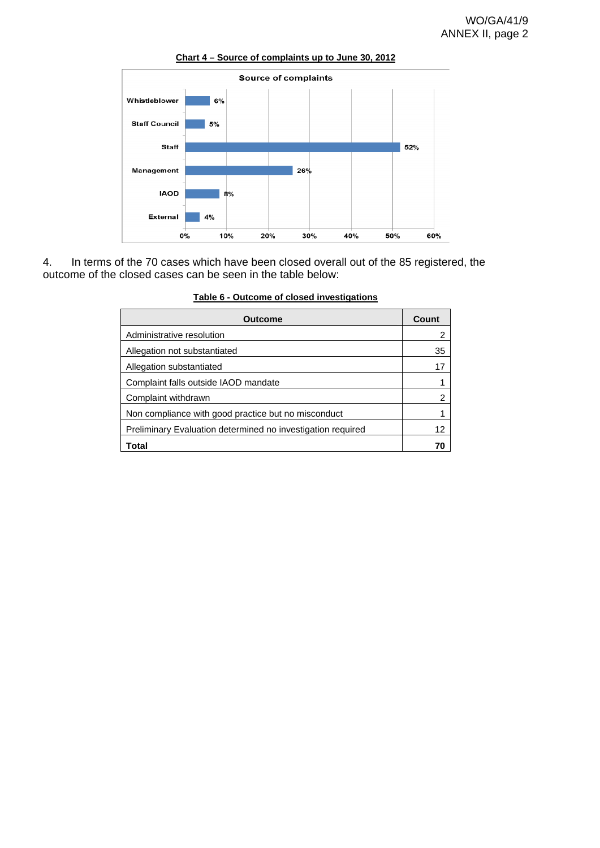

**Chart 4 – Source of complaints up to June 30, 2012**

4. In terms of the 70 cases which have been closed overall out of the 85 registered, the outcome of the closed cases can be seen in the table below:

| <b>Outcome</b>                                              | Count |
|-------------------------------------------------------------|-------|
| Administrative resolution                                   | 2     |
| Allegation not substantiated                                | 35    |
| Allegation substantiated                                    | 17    |
| Complaint falls outside IAOD mandate                        | 1     |
| Complaint withdrawn                                         | 2     |
| Non compliance with good practice but no misconduct         |       |
| Preliminary Evaluation determined no investigation required | 12    |
| Total                                                       | 7Λ    |

|  |  |  |  | Table 6 - Outcome of closed investigations |
|--|--|--|--|--------------------------------------------|
|--|--|--|--|--------------------------------------------|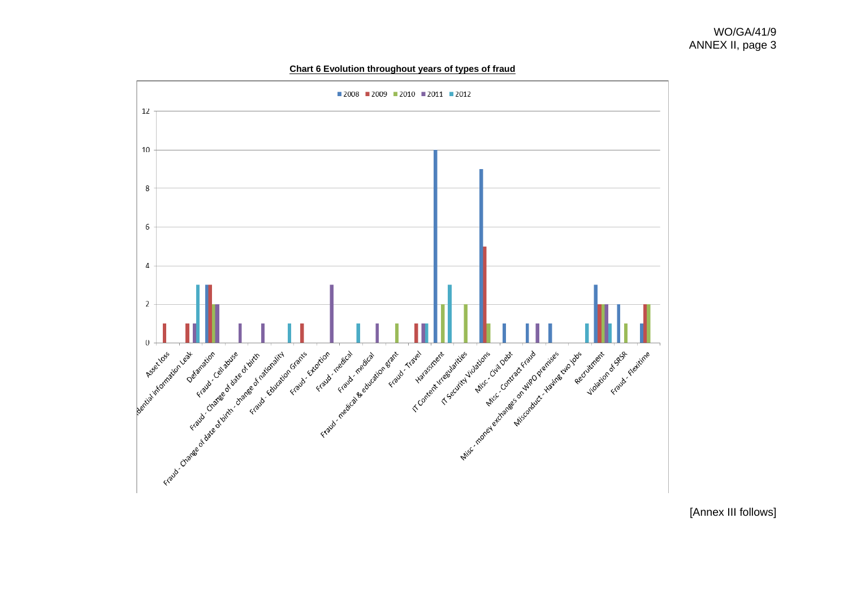

**Chart 6 Evolution throughout years of types of fraud**

[Annex III follows]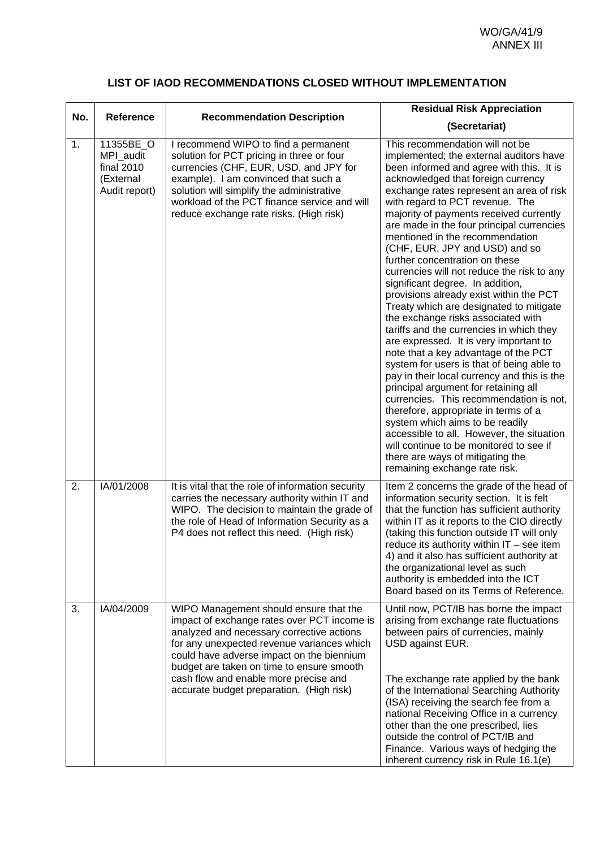### **LIST OF IAOD RECOMMENDATIONS CLOSED WITHOUT IMPLEMENTATION**

|     |                                                                    |                                                                                                                                                                                                                                                                                                                                                                 | <b>Residual Risk Appreciation</b>                                                                                                                                                                                                                                                                                                                                                                                                                                                                                                                                                                                                                                                                                                                                                                                                                                                                                                                                                                                                                                                                                                                                                                             |
|-----|--------------------------------------------------------------------|-----------------------------------------------------------------------------------------------------------------------------------------------------------------------------------------------------------------------------------------------------------------------------------------------------------------------------------------------------------------|---------------------------------------------------------------------------------------------------------------------------------------------------------------------------------------------------------------------------------------------------------------------------------------------------------------------------------------------------------------------------------------------------------------------------------------------------------------------------------------------------------------------------------------------------------------------------------------------------------------------------------------------------------------------------------------------------------------------------------------------------------------------------------------------------------------------------------------------------------------------------------------------------------------------------------------------------------------------------------------------------------------------------------------------------------------------------------------------------------------------------------------------------------------------------------------------------------------|
| No. | <b>Reference</b>                                                   | <b>Recommendation Description</b>                                                                                                                                                                                                                                                                                                                               | (Secretariat)                                                                                                                                                                                                                                                                                                                                                                                                                                                                                                                                                                                                                                                                                                                                                                                                                                                                                                                                                                                                                                                                                                                                                                                                 |
|     |                                                                    |                                                                                                                                                                                                                                                                                                                                                                 |                                                                                                                                                                                                                                                                                                                                                                                                                                                                                                                                                                                                                                                                                                                                                                                                                                                                                                                                                                                                                                                                                                                                                                                                               |
| 1.  | 11355BE_O<br>MPI_audit<br>final 2010<br>(External<br>Audit report) | I recommend WIPO to find a permanent<br>solution for PCT pricing in three or four<br>currencies (CHF, EUR, USD, and JPY for<br>example). I am convinced that such a<br>solution will simplify the administrative<br>workload of the PCT finance service and will<br>reduce exchange rate risks. (High risk)                                                     | This recommendation will not be<br>implemented; the external auditors have<br>been informed and agree with this. It is<br>acknowledged that foreign currency<br>exchange rates represent an area of risk<br>with regard to PCT revenue. The<br>majority of payments received currently<br>are made in the four principal currencies<br>mentioned in the recommendation<br>(CHF, EUR, JPY and USD) and so<br>further concentration on these<br>currencies will not reduce the risk to any<br>significant degree. In addition,<br>provisions already exist within the PCT<br>Treaty which are designated to mitigate<br>the exchange risks associated with<br>tariffs and the currencies in which they<br>are expressed. It is very important to<br>note that a key advantage of the PCT<br>system for users is that of being able to<br>pay in their local currency and this is the<br>principal argument for retaining all<br>currencies. This recommendation is not,<br>therefore, appropriate in terms of a<br>system which aims to be readily<br>accessible to all. However, the situation<br>will continue to be monitored to see if<br>there are ways of mitigating the<br>remaining exchange rate risk. |
| 2.  | IA/01/2008                                                         | It is vital that the role of information security<br>carries the necessary authority within IT and<br>WIPO. The decision to maintain the grade of<br>the role of Head of Information Security as a<br>P4 does not reflect this need. (High risk)                                                                                                                | Item 2 concerns the grade of the head of<br>information security section. It is felt<br>that the function has sufficient authority<br>within IT as it reports to the CIO directly<br>(taking this function outside IT will only<br>reduce its authority within $IT -$ see item<br>4) and it also has sufficient authority at<br>the organizational level as such<br>authority is embedded into the ICT<br>Board based on its Terms of Reference.                                                                                                                                                                                                                                                                                                                                                                                                                                                                                                                                                                                                                                                                                                                                                              |
| 3.  | IA/04/2009                                                         | WIPO Management should ensure that the<br>impact of exchange rates over PCT income is<br>analyzed and necessary corrective actions<br>for any unexpected revenue variances which<br>could have adverse impact on the biennium<br>budget are taken on time to ensure smooth<br>cash flow and enable more precise and<br>accurate budget preparation. (High risk) | Until now, PCT/IB has borne the impact<br>arising from exchange rate fluctuations<br>between pairs of currencies, mainly<br>USD against EUR.<br>The exchange rate applied by the bank<br>of the International Searching Authority<br>(ISA) receiving the search fee from a<br>national Receiving Office in a currency<br>other than the one prescribed, lies<br>outside the control of PCT/IB and<br>Finance. Various ways of hedging the<br>inherent currency risk in Rule 16.1(e)                                                                                                                                                                                                                                                                                                                                                                                                                                                                                                                                                                                                                                                                                                                           |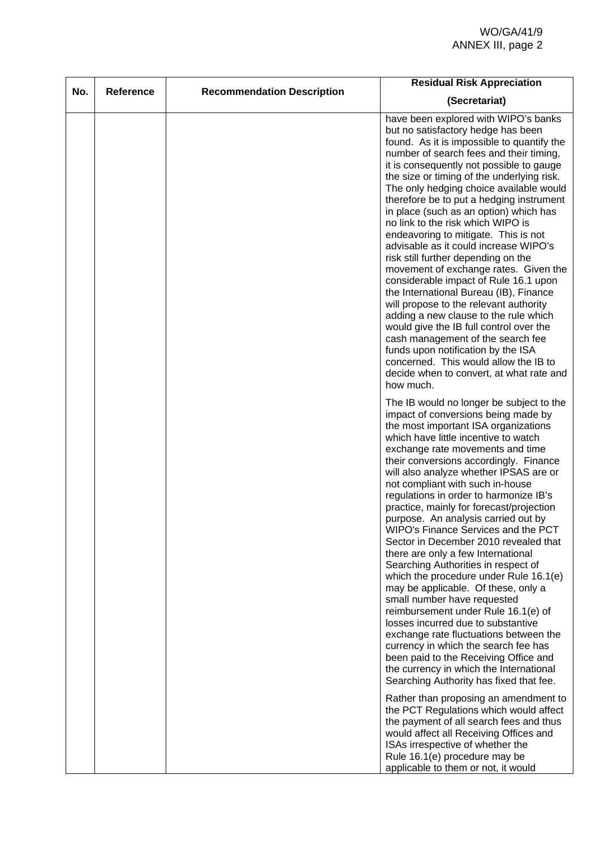| No. | Reference | <b>Recommendation Description</b> | <b>Residual Risk Appreciation</b>                                                                                                                                                                                                                                                                                                                                                                                                                                                                                                                                                                                                                                                                                                                                                                                                                                                                                                                                                                                                                                                                                                                                                                                                                                                                                       |
|-----|-----------|-----------------------------------|-------------------------------------------------------------------------------------------------------------------------------------------------------------------------------------------------------------------------------------------------------------------------------------------------------------------------------------------------------------------------------------------------------------------------------------------------------------------------------------------------------------------------------------------------------------------------------------------------------------------------------------------------------------------------------------------------------------------------------------------------------------------------------------------------------------------------------------------------------------------------------------------------------------------------------------------------------------------------------------------------------------------------------------------------------------------------------------------------------------------------------------------------------------------------------------------------------------------------------------------------------------------------------------------------------------------------|
|     |           |                                   | (Secretariat)                                                                                                                                                                                                                                                                                                                                                                                                                                                                                                                                                                                                                                                                                                                                                                                                                                                                                                                                                                                                                                                                                                                                                                                                                                                                                                           |
|     |           |                                   | have been explored with WIPO's banks<br>but no satisfactory hedge has been<br>found. As it is impossible to quantify the<br>number of search fees and their timing,<br>it is consequently not possible to gauge<br>the size or timing of the underlying risk.<br>The only hedging choice available would<br>therefore be to put a hedging instrument<br>in place (such as an option) which has<br>no link to the risk which WIPO is<br>endeavoring to mitigate. This is not<br>advisable as it could increase WIPO's<br>risk still further depending on the<br>movement of exchange rates. Given the<br>considerable impact of Rule 16.1 upon<br>the International Bureau (IB), Finance<br>will propose to the relevant authority<br>adding a new clause to the rule which<br>would give the IB full control over the<br>cash management of the search fee<br>funds upon notification by the ISA<br>concerned. This would allow the IB to<br>decide when to convert, at what rate and<br>how much.                                                                                                                                                                                                                                                                                                                      |
|     |           |                                   | The IB would no longer be subject to the<br>impact of conversions being made by<br>the most important ISA organizations<br>which have little incentive to watch<br>exchange rate movements and time<br>their conversions accordingly. Finance<br>will also analyze whether IPSAS are or<br>not compliant with such in-house<br>regulations in order to harmonize IB's<br>practice, mainly for forecast/projection<br>purpose. An analysis carried out by<br>WIPO's Finance Services and the PCT<br>Sector in December 2010 revealed that<br>there are only a few International<br>Searching Authorities in respect of<br>which the procedure under Rule 16.1(e)<br>may be applicable. Of these, only a<br>small number have requested<br>reimbursement under Rule 16.1(e) of<br>losses incurred due to substantive<br>exchange rate fluctuations between the<br>currency in which the search fee has<br>been paid to the Receiving Office and<br>the currency in which the International<br>Searching Authority has fixed that fee.<br>Rather than proposing an amendment to<br>the PCT Regulations which would affect<br>the payment of all search fees and thus<br>would affect all Receiving Offices and<br>ISAs irrespective of whether the<br>Rule 16.1(e) procedure may be<br>applicable to them or not, it would |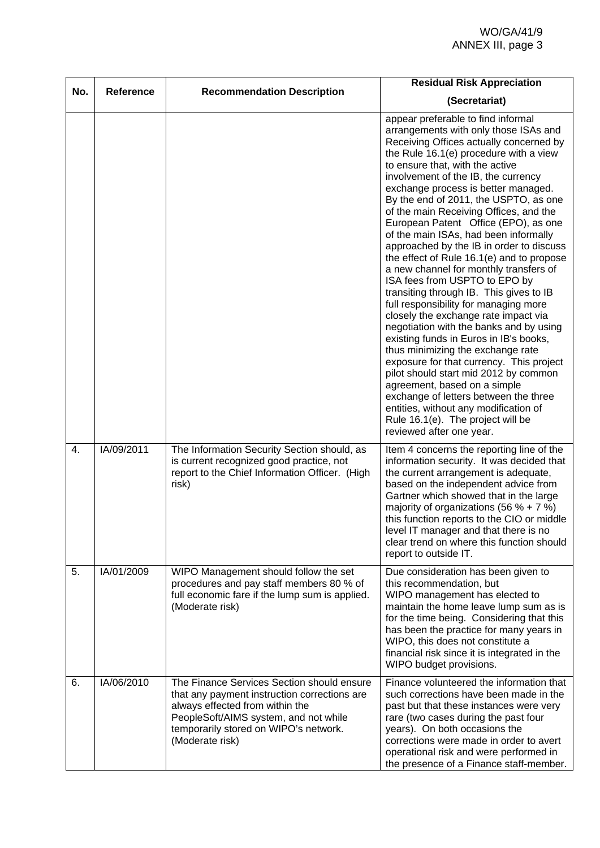| No. | Reference  | <b>Recommendation Description</b>                                                                                                                                                                                                  | <b>Residual Risk Appreciation</b>                                                                                                                                                                                                                                                                                                                                                                                                                                                                                                                                                                                                                                                                                                                                                                                                                                                                                                                                                                                                                                                                                                                       |
|-----|------------|------------------------------------------------------------------------------------------------------------------------------------------------------------------------------------------------------------------------------------|---------------------------------------------------------------------------------------------------------------------------------------------------------------------------------------------------------------------------------------------------------------------------------------------------------------------------------------------------------------------------------------------------------------------------------------------------------------------------------------------------------------------------------------------------------------------------------------------------------------------------------------------------------------------------------------------------------------------------------------------------------------------------------------------------------------------------------------------------------------------------------------------------------------------------------------------------------------------------------------------------------------------------------------------------------------------------------------------------------------------------------------------------------|
|     |            |                                                                                                                                                                                                                                    | (Secretariat)                                                                                                                                                                                                                                                                                                                                                                                                                                                                                                                                                                                                                                                                                                                                                                                                                                                                                                                                                                                                                                                                                                                                           |
|     |            |                                                                                                                                                                                                                                    | appear preferable to find informal<br>arrangements with only those ISAs and<br>Receiving Offices actually concerned by<br>the Rule 16.1(e) procedure with a view<br>to ensure that, with the active<br>involvement of the IB, the currency<br>exchange process is better managed.<br>By the end of 2011, the USPTO, as one<br>of the main Receiving Offices, and the<br>European Patent Office (EPO), as one<br>of the main ISAs, had been informally<br>approached by the IB in order to discuss<br>the effect of Rule 16.1(e) and to propose<br>a new channel for monthly transfers of<br>ISA fees from USPTO to EPO by<br>transiting through IB. This gives to IB<br>full responsibility for managing more<br>closely the exchange rate impact via<br>negotiation with the banks and by using<br>existing funds in Euros in IB's books,<br>thus minimizing the exchange rate<br>exposure for that currency. This project<br>pilot should start mid 2012 by common<br>agreement, based on a simple<br>exchange of letters between the three<br>entities, without any modification of<br>Rule 16.1(e). The project will be<br>reviewed after one year. |
| 4.  | IA/09/2011 | The Information Security Section should, as<br>is current recognized good practice, not<br>report to the Chief Information Officer. (High<br>risk)                                                                                 | Item 4 concerns the reporting line of the<br>information security. It was decided that<br>the current arrangement is adequate,<br>based on the independent advice from<br>Gartner which showed that in the large<br>majority of organizations (56 % + 7 %)<br>this function reports to the CIO or middle<br>level IT manager and that there is no<br>clear trend on where this function should<br>report to outside IT.                                                                                                                                                                                                                                                                                                                                                                                                                                                                                                                                                                                                                                                                                                                                 |
| 5.  | IA/01/2009 | WIPO Management should follow the set<br>procedures and pay staff members 80 % of<br>full economic fare if the lump sum is applied.<br>(Moderate risk)                                                                             | Due consideration has been given to<br>this recommendation, but<br>WIPO management has elected to<br>maintain the home leave lump sum as is<br>for the time being. Considering that this<br>has been the practice for many years in<br>WIPO, this does not constitute a<br>financial risk since it is integrated in the<br>WIPO budget provisions.                                                                                                                                                                                                                                                                                                                                                                                                                                                                                                                                                                                                                                                                                                                                                                                                      |
| 6.  | IA/06/2010 | The Finance Services Section should ensure<br>that any payment instruction corrections are<br>always effected from within the<br>PeopleSoft/AIMS system, and not while<br>temporarily stored on WIPO's network.<br>(Moderate risk) | Finance volunteered the information that<br>such corrections have been made in the<br>past but that these instances were very<br>rare (two cases during the past four<br>years). On both occasions the<br>corrections were made in order to avert<br>operational risk and were performed in<br>the presence of a Finance staff-member.                                                                                                                                                                                                                                                                                                                                                                                                                                                                                                                                                                                                                                                                                                                                                                                                                  |